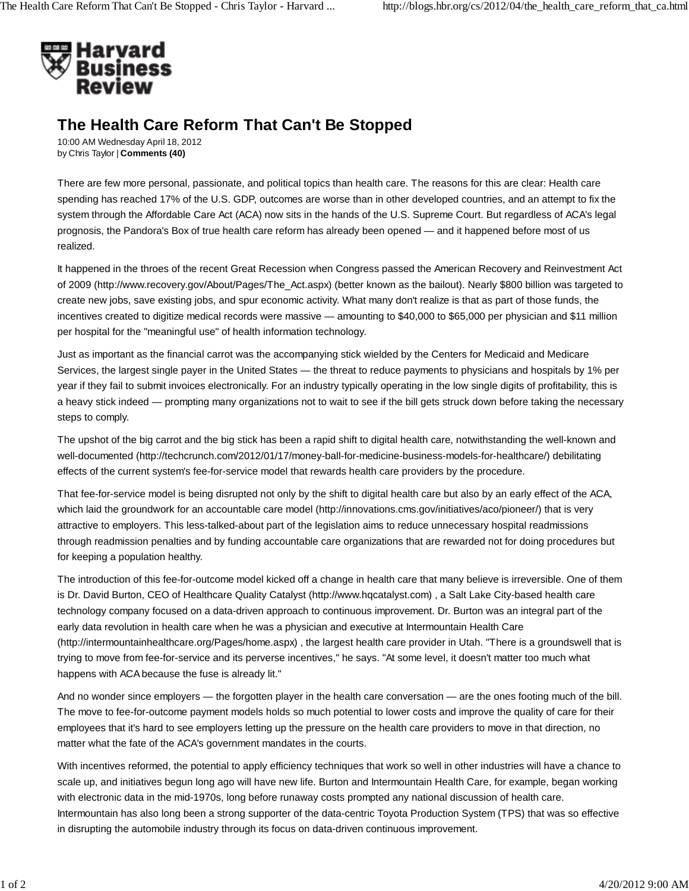

## **The Health Care Reform That Can't Be Stopped**

10:00 AM Wednesday April 18, 2012 by Chris Taylor | **Comments (40)**

There are few more personal, passionate, and political topics than health care. The reasons for this are clear: Health care spending has reached 17% of the U.S. GDP, outcomes are worse than in other developed countries, and an attempt to fix the system through the Affordable Care Act (ACA) now sits in the hands of the U.S. Supreme Court. But regardless of ACA's legal prognosis, the Pandora's Box of true health care reform has already been opened — and it happened before most of us realized.

It happened in the throes of the recent Great Recession when Congress passed the American Recovery and Reinvestment Act of 2009 (http://www.recovery.gov/About/Pages/The\_Act.aspx) (better known as the bailout). Nearly \$800 billion was targeted to create new jobs, save existing jobs, and spur economic activity. What many don't realize is that as part of those funds, the incentives created to digitize medical records were massive — amounting to \$40,000 to \$65,000 per physician and \$11 million per hospital for the "meaningful use" of health information technology.

Just as important as the financial carrot was the accompanying stick wielded by the Centers for Medicaid and Medicare Services, the largest single payer in the United States — the threat to reduce payments to physicians and hospitals by 1% per year if they fail to submit invoices electronically. For an industry typically operating in the low single digits of profitability, this is a heavy stick indeed — prompting many organizations not to wait to see if the bill gets struck down before taking the necessary steps to comply.

The upshot of the big carrot and the big stick has been a rapid shift to digital health care, notwithstanding the well-known and well-documented (http://techcrunch.com/2012/01/17/money-ball-for-medicine-business-models-for-healthcare/) debilitating effects of the current system's fee-for-service model that rewards health care providers by the procedure.

That fee-for-service model is being disrupted not only by the shift to digital health care but also by an early effect of the ACA, which laid the groundwork for an accountable care model (http://innovations.cms.gov/initiatives/aco/pioneer/) that is very attractive to employers. This less-talked-about part of the legislation aims to reduce unnecessary hospital readmissions through readmission penalties and by funding accountable care organizations that are rewarded not for doing procedures but for keeping a population healthy.

The introduction of this fee-for-outcome model kicked off a change in health care that many believe is irreversible. One of them is Dr. David Burton, CEO of Healthcare Quality Catalyst (http://www.hqcatalyst.com) , a Salt Lake City-based health care technology company focused on a data-driven approach to continuous improvement. Dr. Burton was an integral part of the early data revolution in health care when he was a physician and executive at Intermountain Health Care (http://intermountainhealthcare.org/Pages/home.aspx) , the largest health care provider in Utah. "There is a groundswell that is trying to move from fee-for-service and its perverse incentives," he says. "At some level, it doesn't matter too much what happens with ACA because the fuse is already lit."

And no wonder since employers — the forgotten player in the health care conversation — are the ones footing much of the bill. The move to fee-for-outcome payment models holds so much potential to lower costs and improve the quality of care for their employees that it's hard to see employers letting up the pressure on the health care providers to move in that direction, no matter what the fate of the ACA's government mandates in the courts.

With incentives reformed, the potential to apply efficiency techniques that work so well in other industries will have a chance to scale up, and initiatives begun long ago will have new life. Burton and Intermountain Health Care, for example, began working with electronic data in the mid-1970s, long before runaway costs prompted any national discussion of health care. Intermountain has also long been a strong supporter of the data-centric Toyota Production System (TPS) that was so effective in disrupting the automobile industry through its focus on data-driven continuous improvement.